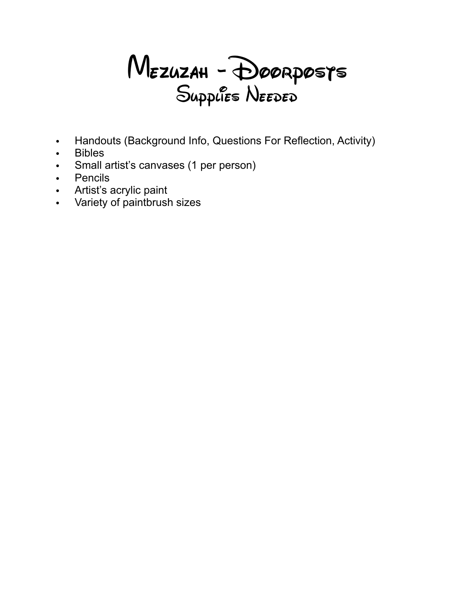

- Handouts (Background Info, Questions For Reflection, Activity)
- Bibles
- Small artist's canvases (1 per person)
- Pencils
- Artist's acrylic paint
- Variety of paintbrush sizes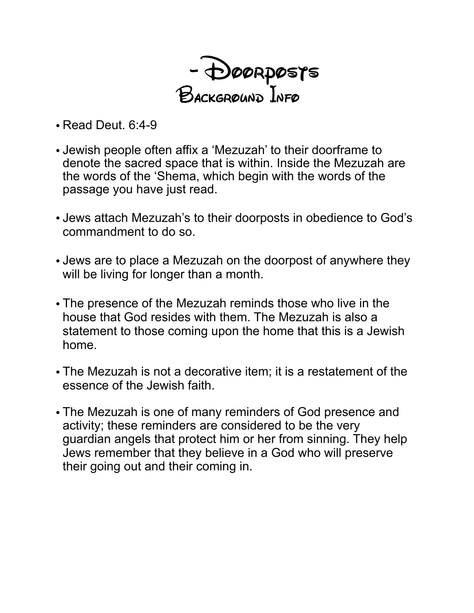- Doorposts Background Info

- Read Deut. 6:4-9
- Jewish people often affix a 'Mezuzah' to their doorframe to denote the sacred space that is within. Inside the Mezuzah are the words of the 'Shema, which begin with the words of the passage you have just read.
- Jews attach Mezuzah's to their doorposts in obedience to God's commandment to do so.
- Jews are to place a Mezuzah on the doorpost of anywhere they will be living for longer than a month.
- The presence of the Mezuzah reminds those who live in the house that God resides with them. The Mezuzah is also a statement to those coming upon the home that this is a Jewish home.
- The Mezuzah is not a decorative item; it is a restatement of the essence of the Jewish faith.
- The Mezuzah is one of many reminders of God presence and activity; these reminders are considered to be the very guardian angels that protect him or her from sinning. They help Jews remember that they believe in a God who will preserve their going out and their coming in.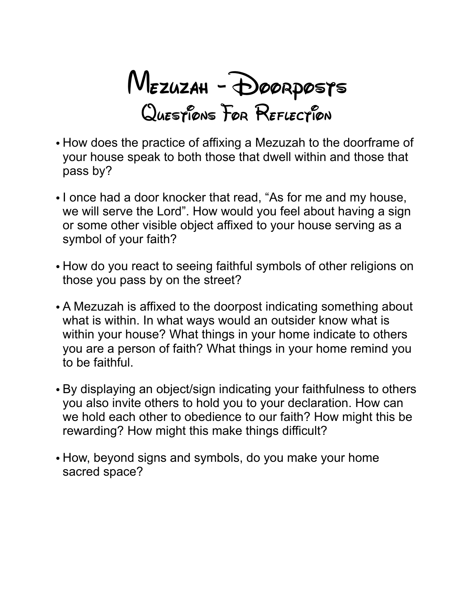Mezuzah - Doorposts QUESTIONS FOR REFLECTION

- How does the practice of affixing a Mezuzah to the doorframe of your house speak to both those that dwell within and those that pass by?
- I once had a door knocker that read, "As for me and my house, we will serve the Lord". How would you feel about having a sign or some other visible object affixed to your house serving as a symbol of your faith?
- How do you react to seeing faithful symbols of other religions on those you pass by on the street?
- A Mezuzah is affixed to the doorpost indicating something about what is within. In what ways would an outsider know what is within your house? What things in your home indicate to others you are a person of faith? What things in your home remind you to be faithful.
- By displaying an object/sign indicating your faithfulness to others you also invite others to hold you to your declaration. How can we hold each other to obedience to our faith? How might this be rewarding? How might this make things difficult?
- How, beyond signs and symbols, do you make your home sacred space?